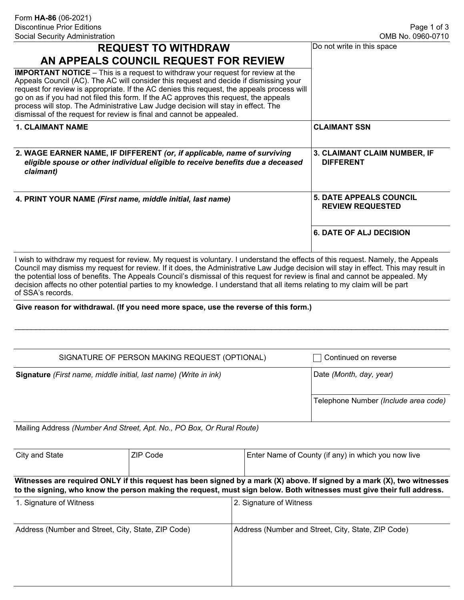| <b>REQUEST TO WITHDRAW</b>                                                                                                                                                                                                                                                                                                                                                                                                                                                                                                          | Do not write in this space                                |  |
|-------------------------------------------------------------------------------------------------------------------------------------------------------------------------------------------------------------------------------------------------------------------------------------------------------------------------------------------------------------------------------------------------------------------------------------------------------------------------------------------------------------------------------------|-----------------------------------------------------------|--|
| AN APPEALS COUNCIL REQUEST FOR REVIEW                                                                                                                                                                                                                                                                                                                                                                                                                                                                                               |                                                           |  |
| <b>IMPORTANT NOTICE</b> – This is a request to withdraw your request for review at the<br>Appeals Council (AC). The AC will consider this request and decide if dismissing your<br>request for review is appropriate. If the AC denies this request, the appeals process will<br>go on as if you had not filed this form. If the AC approves this request, the appeals<br>process will stop. The Administrative Law Judge decision will stay in effect. The<br>dismissal of the request for review is final and cannot be appealed. |                                                           |  |
| <b>1. CLAIMANT NAME</b>                                                                                                                                                                                                                                                                                                                                                                                                                                                                                                             | <b>CLAIMANT SSN</b>                                       |  |
| 2. WAGE EARNER NAME, IF DIFFERENT (or, if applicable, name of surviving<br>eligible spouse or other individual eligible to receive benefits due a deceased<br>claimant)                                                                                                                                                                                                                                                                                                                                                             | <b>3. CLAIMANT CLAIM NUMBER, IF</b><br><b>DIFFERENT</b>   |  |
| 4. PRINT YOUR NAME (First name, middle initial, last name)                                                                                                                                                                                                                                                                                                                                                                                                                                                                          | <b>5. DATE APPEALS COUNCIL</b><br><b>REVIEW REQUESTED</b> |  |
|                                                                                                                                                                                                                                                                                                                                                                                                                                                                                                                                     |                                                           |  |

I wish to withdraw my request for review. My request is voluntary. I understand the effects of this request. Namely, the Appeals Council may dismiss my request for review. If it does, the Administrative Law Judge decision will stay in effect. This may result in the potential loss of benefits. The Appeals Council's dismissal of this request for review is final and cannot be appealed. My decision affects no other potential parties to my knowledge. I understand that all items relating to my claim will be part of SSA's records.

\_\_\_\_\_\_\_\_\_\_\_\_\_\_\_\_\_\_\_\_\_\_\_\_\_\_\_\_\_\_\_\_\_\_\_\_\_\_\_\_\_\_\_\_\_\_\_\_\_\_\_\_\_\_\_\_\_\_\_\_\_\_\_\_\_\_\_\_\_\_\_\_\_\_\_\_\_\_\_\_\_\_\_\_\_\_\_\_\_\_\_\_\_\_\_\_\_\_\_\_\_\_\_

## **Give reason for withdrawal. (If you need more space, use the reverse of this form.)**

| SIGNATURE OF PERSON MAKING REQUEST (OPTIONAL)                         | Continued on reverse                 |
|-----------------------------------------------------------------------|--------------------------------------|
| Signature (First name, middle initial, last name) (Write in ink)      | Date (Month, day, year)              |
|                                                                       | Telephone Number (Include area code) |
| Mailing Address (Number And Street, Apt. No., PO Box, Or Rural Route) |                                      |

Mailing Address *(Number And Street, Apt. No., PO Box, Or Rural Route)*

| City and State                                                                                                          | ZIP Code | Enter Name of County (if any) in which you now live |  |
|-------------------------------------------------------------------------------------------------------------------------|----------|-----------------------------------------------------|--|
|                                                                                                                         |          |                                                     |  |
| Witnesses are required ONLY if this request has been signed by a mark (X) above. If signed by a mark (X), two witnesses |          |                                                     |  |
| to the signing, who know the person making the request, must sign below. Both witnesses must give their full address.   |          |                                                     |  |

| 1. Signature of Witness                            | 2. Signature of Witness                            |
|----------------------------------------------------|----------------------------------------------------|
| Address (Number and Street, City, State, ZIP Code) | Address (Number and Street, City, State, ZIP Code) |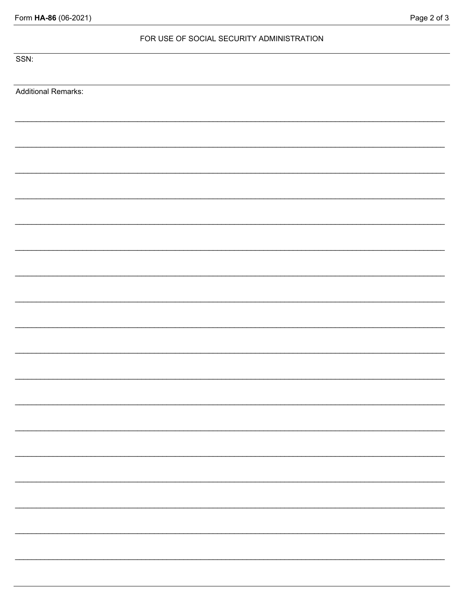| Form HA-86 (06-2021) |  |
|----------------------|--|
|----------------------|--|

## Page 2 of 3

## FOR USE OF SOCIAL SECURITY ADMINISTRATION

SSN:

**Additional Remarks:**